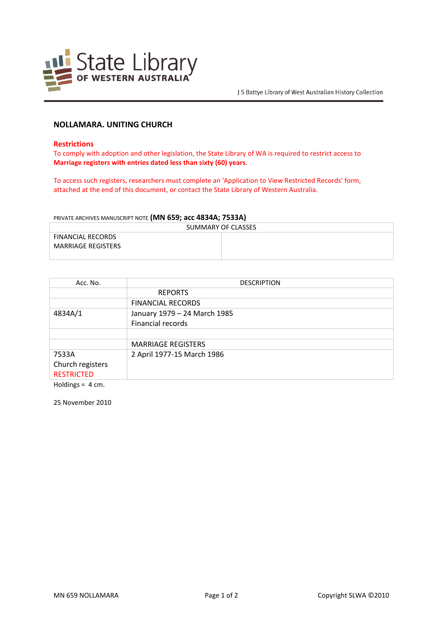

## **NOLLAMARA. UNITING CHURCH**

#### **Restrictions**

To comply with adoption and other legislation, the State Library of WA is required to restrict access to **Marriage registers with entries dated less than sixty (60) years**.

To access such registers, researchers must complete an 'Application to View Restricted Records' form, attached at the end of this document, or contact the State Library of Western Australia.

### PRIVATE ARCHIVES MANUSCRIPT NOTE **(MN 659; acc 4834A; 7533A)**

| SUMMARY OF CLASSES        |  |  |
|---------------------------|--|--|
| FINANCIAL RECORDS         |  |  |
| <b>MARRIAGE REGISTERS</b> |  |  |
|                           |  |  |

| Acc. No.          | <b>DESCRIPTION</b>           |
|-------------------|------------------------------|
|                   | <b>REPORTS</b>               |
|                   | <b>FINANCIAL RECORDS</b>     |
| 4834A/1           | January 1979 - 24 March 1985 |
|                   | Financial records            |
|                   |                              |
|                   | <b>MARRIAGE REGISTERS</b>    |
| 7533A             | 2 April 1977-15 March 1986   |
| Church registers  |                              |
| <b>RESTRICTED</b> |                              |

Holdings = 4 cm.

25 November 2010